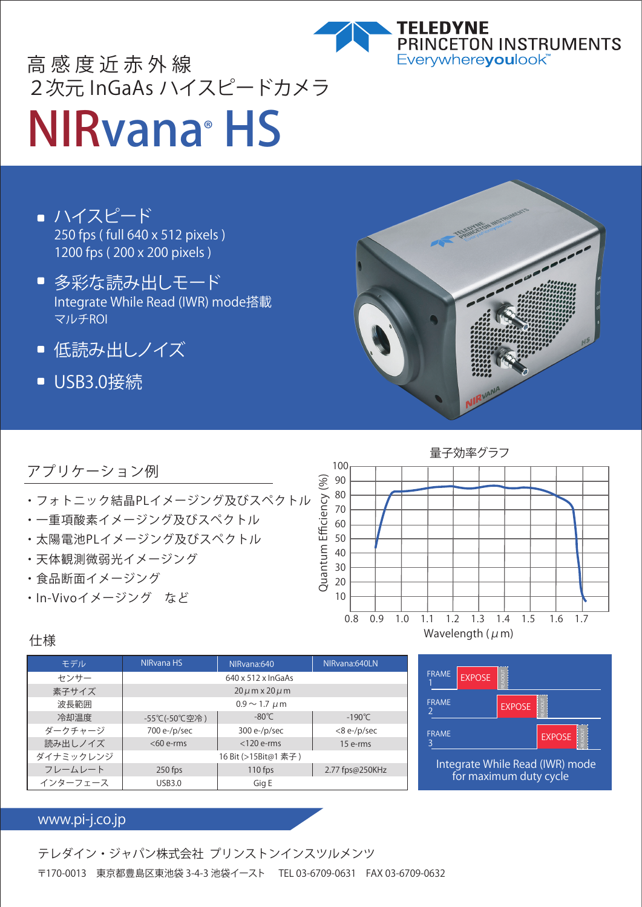

## NIRvana® HS 高感度近赤外線 2次元 InGaAs ハイスピードカメラ

- ハイスピード 250 fps ( full 640 x 512 pixels ) 1200 fps ( 200 x 200 pixels )
- 多彩な読み出しモード Integrate While Read (IWR) mode搭載 マルチROI
- 低読み出しノイズ  $\blacksquare$
- USB3.0接続



#### アプリケーション例

- ・フォトニック結晶PLイメージング及びスペクトル
- ・一重項酸素イメージング及びスペクトル
- ・太陽電池PLイメージング及びスペクトル
- ・天体観測微弱光イメージング
- ・食品断面イメージング
- ・In-Vivoイメージング など



#### 仕様

| モデル       | NIRvana HS                     | NIRvana:640     | NIRvana:640LN    |
|-----------|--------------------------------|-----------------|------------------|
| センサー      | $640 \times 512 \times$ InGaAs |                 |                  |
| 素子サイズ     | $20 \mu m \times 20 \mu m$     |                 |                  |
| 波長範囲      | $0.9 \sim 1.7 \mu m$           |                 |                  |
| 冷却温度      | -55℃(-50℃空冷)                   | $-80^{\circ}$ C | $-190^{\circ}$ C |
| ダークチャージ   | 700 e-/p/sec                   | $300 e$ -/p/sec | $<8$ e-/p/sec    |
| 読み出しノイズ   | $< 60$ e-rms                   | $<$ 120 e-rms   | 15 e-rms         |
| ダイナミックレンジ | 16 Bit (>15Bit@1 素子)           |                 |                  |
| フレームレート   | $250$ fps                      | $110$ fps       | 2.77 fps@250KHz  |
| インターフェース  | <b>USB3.0</b>                  | Gig E           |                  |



#### www.pi-j.co.jp

テレダイン・ジャパン株式会社 プリンストンインスツルメンツ 〒170-0013 東京都豊島区東池袋 3-4-3 池袋イースト TEL 03-6709-0631 FAX 03-6709-0632